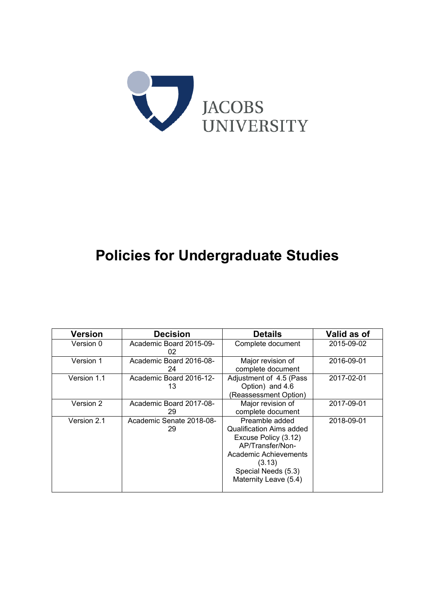

# **Policies for Undergraduate Studies**

| <b>Version</b> | <b>Decision</b>                | <b>Details</b>                                                                                                                                                                   | Valid as of |
|----------------|--------------------------------|----------------------------------------------------------------------------------------------------------------------------------------------------------------------------------|-------------|
| Version 0      | Academic Board 2015-09-<br>02  | Complete document                                                                                                                                                                | 2015-09-02  |
| Version 1      | Academic Board 2016-08-<br>24  | Major revision of<br>complete document                                                                                                                                           | 2016-09-01  |
| Version 1.1    | Academic Board 2016-12-<br>13  | Adjustment of 4.5 (Pass<br>Option) and 4.6<br>(Reassessment Option)                                                                                                              | 2017-02-01  |
| Version 2      | Academic Board 2017-08-<br>29  | Major revision of<br>complete document                                                                                                                                           | 2017-09-01  |
| Version 2.1    | Academic Senate 2018-08-<br>29 | Preamble added<br><b>Qualification Aims added</b><br>Excuse Policy (3.12)<br>AP/Transfer/Non-<br>Academic Achievements<br>(3.13)<br>Special Needs (5.3)<br>Maternity Leave (5.4) | 2018-09-01  |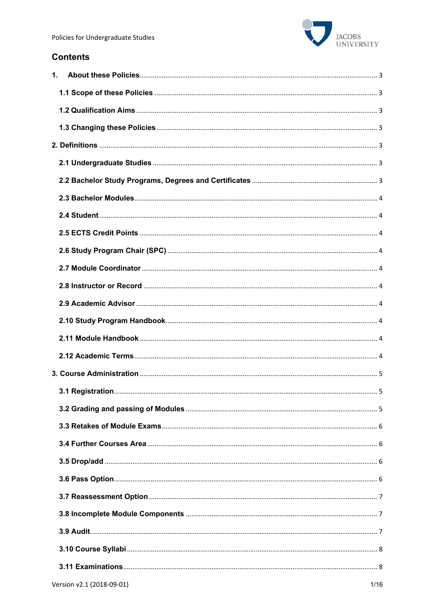

# **Contents**

| 1. |  |
|----|--|
|    |  |
|    |  |
|    |  |
|    |  |
|    |  |
|    |  |
|    |  |
|    |  |
|    |  |
|    |  |
|    |  |
|    |  |
|    |  |
|    |  |
|    |  |
|    |  |
|    |  |
|    |  |
|    |  |
|    |  |
|    |  |
|    |  |
|    |  |
|    |  |
|    |  |
|    |  |
|    |  |
|    |  |
|    |  |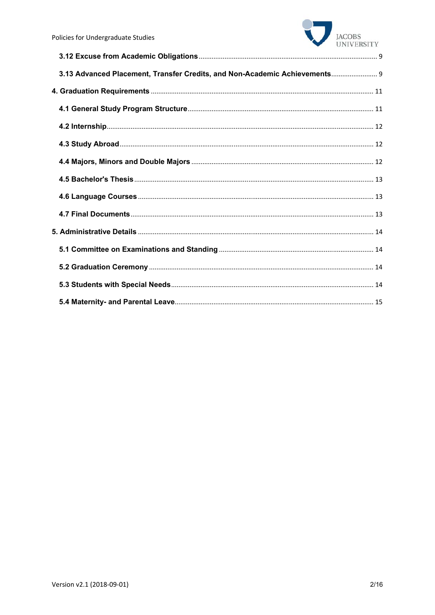

| 3.13 Advanced Placement, Transfer Credits, and Non-Academic Achievements 9 |  |
|----------------------------------------------------------------------------|--|
|                                                                            |  |
|                                                                            |  |
|                                                                            |  |
|                                                                            |  |
|                                                                            |  |
|                                                                            |  |
|                                                                            |  |
|                                                                            |  |
|                                                                            |  |
|                                                                            |  |
|                                                                            |  |
|                                                                            |  |
|                                                                            |  |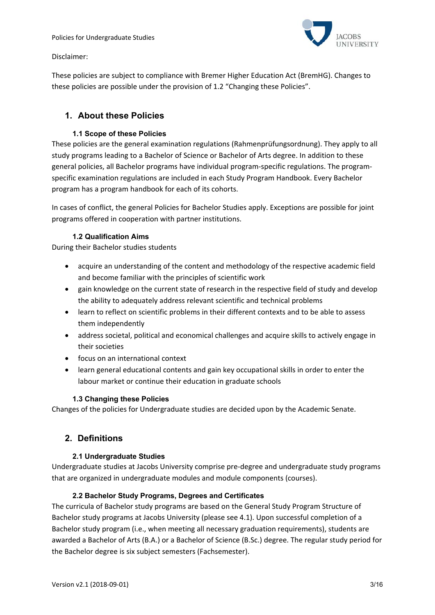

Disclaimer:

These policies are subject to compliance with Bremer Higher Education Act (BremHG). Changes to these policies are possible under the provision of 1.2 "Changing these Policies".

# **1. About these Policies**

## **1.1 Scope of these Policies**

These policies are the general examination regulations (Rahmenprüfungsordnung). They apply to all study programs leading to a Bachelor of Science or Bachelor of Arts degree. In addition to these general policies, all Bachelor programs have individual program‐specific regulations. The program‐ specific examination regulations are included in each Study Program Handbook. Every Bachelor program has a program handbook for each of its cohorts.

In cases of conflict, the general Policies for Bachelor Studies apply. Exceptions are possible for joint programs offered in cooperation with partner institutions.

## **1.2Qualification Aims**

During their Bachelor studies students

- acquire an understanding of the content and methodology of the respective academic field and become familiar with the principles of scientific work
- gain knowledge on the current state of research in the respective field of study and develop the ability to adequately address relevant scientific and technical problems
- learn to reflect on scientific problems in their different contexts and to be able to assess them independently
- address societal, political and economical challenges and acquire skills to actively engage in their societies
- focus on an international context
- learn general educational contents and gain key occupational skills in order to enter the labour market or continue their education in graduate schools

## **1.3 Changing these Policies**

Changes of the policies for Undergraduate studies are decided upon by the Academic Senate.

## **2. Definitions**

## **2.1 Undergraduate Studies**

Undergraduate studies at Jacobs University comprise pre‐degree and undergraduate study programs that are organized in undergraduate modules and module components (courses).

## **2.2 Bachelor Study Programs, Degrees and Certificates**

The curricula of Bachelor study programs are based on the General Study Program Structure of Bachelor study programs at Jacobs University (please see 4.1). Upon successful completion of a Bachelor study program (i.e., when meeting all necessary graduation requirements), students are awarded a Bachelor of Arts (B.A.) or a Bachelor of Science (B.Sc.) degree. The regular study period for the Bachelor degree is six subject semesters (Fachsemester).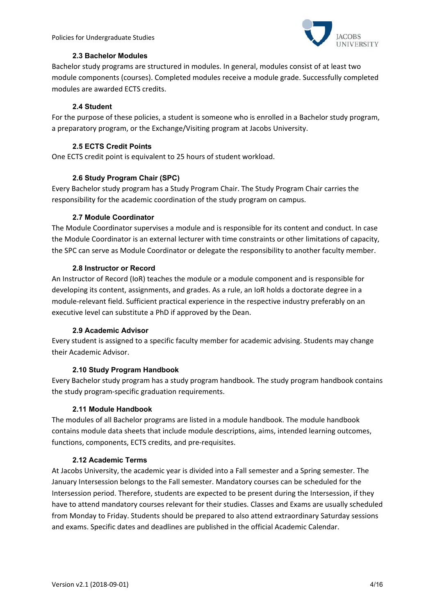

#### **2.3 Bachelor Modules**

Bachelor study programs are structured in modules. In general, modules consist of at least two module components (courses). Completed modules receive a module grade. Successfully completed modules are awarded ECTS credits.

#### **2.4 Student**

For the purpose of these policies, a student is someone who is enrolled in a Bachelor study program, a preparatory program, or the Exchange/Visiting program at Jacobs University.

#### **2.5 ECTS Credit Points**

One ECTS credit point is equivalent to 25 hours of student workload.

#### **2.6 Study Program Chair (SPC)**

Every Bachelor study program has a Study Program Chair. The Study Program Chair carries the responsibility for the academic coordination of the study program on campus.

#### **2.7 Module Coordinator**

The Module Coordinator supervises a module and is responsible for its content and conduct. In case the Module Coordinator is an external lecturer with time constraints or other limitations of capacity, the SPC can serve as Module Coordinator or delegate the responsibility to another faculty member.

#### **2.8 Instructor or Record**

An Instructor of Record (IoR) teaches the module or a module component and is responsible for developing its content, assignments, and grades. As a rule, an IoR holds a doctorate degree in a module‐relevant field. Sufficient practical experience in the respective industry preferably on an executive level can substitute a PhD if approved by the Dean.

#### **2.9 Academic Advisor**

Every student is assigned to a specific faculty member for academic advising. Students may change their Academic Advisor.

## **2.10 Study Program Handbook**

Every Bachelor study program has a study program handbook. The study program handbook contains the study program‐specific graduation requirements.

## **2.11 Module Handbook**

The modules of all Bachelor programs are listed in a module handbook. The module handbook contains module data sheets that include module descriptions, aims, intended learning outcomes, functions, components, ECTS credits, and pre‐requisites.

#### **2.12 Academic Terms**

At Jacobs University, the academic year is divided into a Fall semester and a Spring semester. The January Intersession belongs to the Fall semester. Mandatory courses can be scheduled for the Intersession period. Therefore, students are expected to be present during the Intersession, if they have to attend mandatory courses relevant for their studies. Classes and Exams are usually scheduled from Monday to Friday. Students should be prepared to also attend extraordinary Saturday sessions and exams. Specific dates and deadlines are published in the official Academic Calendar.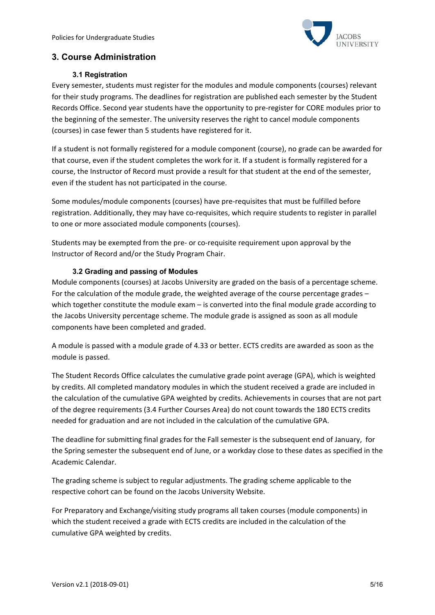

# **3. Course Administration**

#### **3.1 Registration**

Every semester, students must register for the modules and module components (courses) relevant for their study programs. The deadlines for registration are published each semester by the Student Records Office. Second year students have the opportunity to pre‐register for CORE modules prior to the beginning of the semester. The university reserves the right to cancel module components (courses) in case fewer than 5 students have registered for it.

If a student is not formally registered for a module component (course), no grade can be awarded for that course, even if the student completes the work for it. If a student is formally registered for a course, the Instructor of Record must provide a result for that student at the end of the semester, even if the student has not participated in the course.

Some modules/module components (courses) have pre‐requisites that must be fulfilled before registration. Additionally, they may have co-requisites, which require students to register in parallel to one or more associated module components (courses).

Students may be exempted from the pre‐ or co‐requisite requirement upon approval by the Instructor of Record and/or the Study Program Chair.

## **3.2 Grading and passing of Modules**

Module components (courses) at Jacobs University are graded on the basis of a percentage scheme. For the calculation of the module grade, the weighted average of the course percentage grades – which together constitute the module exam – is converted into the final module grade according to the Jacobs University percentage scheme. The module grade is assigned as soon as all module components have been completed and graded.

A module is passed with a module grade of 4.33 or better. ECTS credits are awarded as soon as the module is passed.

The Student Records Office calculates the cumulative grade point average (GPA), which is weighted by credits. All completed mandatory modules in which the student received a grade are included in the calculation of the cumulative GPA weighted by credits. Achievements in courses that are not part of the degree requirements (3.4 Further Courses Area) do not count towards the 180 ECTS credits needed for graduation and are not included in the calculation of the cumulative GPA.

The deadline for submitting final grades for the Fall semester is the subsequent end of January, for the Spring semester the subsequent end of June, or a workday close to these dates as specified in the Academic Calendar.

The grading scheme is subject to regular adjustments. The grading scheme applicable to the respective cohort can be found on the Jacobs University Website.

For Preparatory and Exchange/visiting study programs all taken courses (module components) in which the student received a grade with ECTS credits are included in the calculation of the cumulative GPA weighted by credits.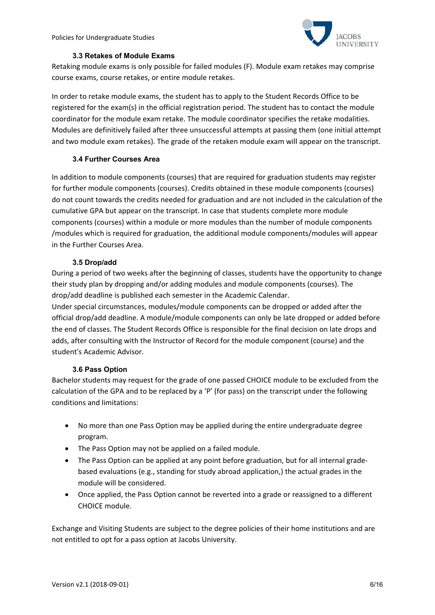

#### **3.3 Retakes of Module Exams**

Retaking module exams is only possible for failed modules (F). Module exam retakes may comprise course exams, course retakes, or entire module retakes.

In order to retake module exams, the student has to apply to the Student Records Office to be registered for the exam(s) in the official registration period. The student has to contact the module coordinator for the module exam retake. The module coordinator specifies the retake modalities. Modules are definitively failed after three unsuccessful attempts at passing them (one initial attempt and two module exam retakes). The grade of the retaken module exam will appear on the transcript.

## **3.4 Further Courses Area**

In addition to module components (courses) that are required for graduation students may register for further module components (courses). Credits obtained in these module components (courses) do not count towards the credits needed for graduation and are not included in the calculation of the cumulative GPA but appear on the transcript. In case that students complete more module components (courses) within a module or more modules than the number of module components /modules which is required for graduation, the additional module components/modules will appear in the Further Courses Area.

## **3.5 Drop/add**

During a period of two weeks after the beginning of classes, students have the opportunity to change their study plan by dropping and/or adding modules and module components (courses). The drop/add deadline is published each semester in the Academic Calendar.

Under special circumstances, modules/module components can be dropped or added after the official drop/add deadline. A module/module components can only be late dropped or added before the end of classes. The Student Records Office is responsible for the final decision on late drops and adds, after consulting with the Instructor of Record for the module component (course) and the student's Academic Advisor.

## **3.6 Pass Option**

Bachelor students may request for the grade of one passed CHOICE module to be excluded from the calculation of the GPA and to be replaced by a 'P' (for pass) on the transcript under the following conditions and limitations:

- No more than one Pass Option may be applied during the entire undergraduate degree program.
- The Pass Option may not be applied on a failed module.
- The Pass Option can be applied at any point before graduation, but for all internal grade‐ based evaluations (e.g., standing for study abroad application,) the actual grades in the module will be considered.
- Once applied, the Pass Option cannot be reverted into a grade or reassigned to a different CHOICE module.

Exchange and Visiting Students are subject to the degree policies of their home institutions and are not entitled to opt for a pass option at Jacobs University.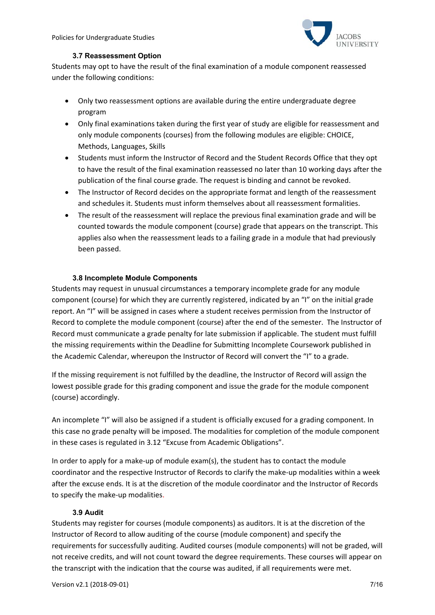

## **3.7 Reassessment Option**

Students may opt to have the result of the final examination of a module component reassessed under the following conditions:

- Only two reassessment options are available during the entire undergraduate degree program
- Only final examinations taken during the first year of study are eligible for reassessment and only module components (courses) from the following modules are eligible: CHOICE, Methods, Languages, Skills
- Students must inform the Instructor of Record and the Student Records Office that they opt to have the result of the final examination reassessed no later than 10 working days after the publication of the final course grade. The request is binding and cannot be revoked.
- The Instructor of Record decides on the appropriate format and length of the reassessment and schedules it. Students must inform themselves about all reassessment formalities.
- The result of the reassessment will replace the previous final examination grade and will be counted towards the module component (course) grade that appears on the transcript. This applies also when the reassessment leads to a failing grade in a module that had previously been passed.

#### **3.8 Incomplete Module Components**

Students may request in unusual circumstances a temporary incomplete grade for any module component (course) for which they are currently registered, indicated by an "I" on the initial grade report. An "I" will be assigned in cases where a student receives permission from the Instructor of Record to complete the module component (course) after the end of the semester. The Instructor of Record must communicate a grade penalty for late submission if applicable. The student must fulfill the missing requirements within the Deadline for Submitting Incomplete Coursework published in the Academic Calendar, whereupon the Instructor of Record will convert the "I" to a grade.

If the missing requirement is not fulfilled by the deadline, the Instructor of Record will assign the lowest possible grade for this grading component and issue the grade for the module component (course) accordingly.

An incomplete "I" will also be assigned if a student is officially excused for a grading component. In this case no grade penalty will be imposed. The modalities for completion of the module component in these cases is regulated in 3.12 "Excuse from Academic Obligations".

In order to apply for a make-up of module exam(s), the student has to contact the module coordinator and the respective Instructor of Records to clarify the make-up modalities within a week after the excuse ends. It is at the discretion of the module coordinator and the Instructor of Records to specify the make‐up modalities.

## **3.9 Audit**

Students may register for courses (module components) as auditors. It is at the discretion of the Instructor of Record to allow auditing of the course (module component) and specify the requirements for successfully auditing. Audited courses (module components) will not be graded, will not receive credits, and will not count toward the degree requirements. These courses will appear on the transcript with the indication that the course was audited, if all requirements were met.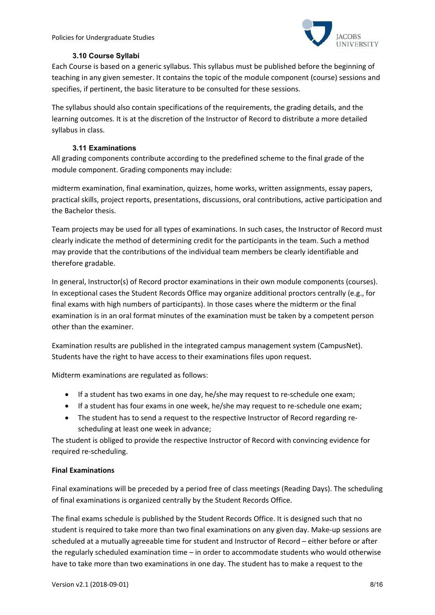

## **3.10 Course Syllabi**

Each Course is based on a generic syllabus. This syllabus must be published before the beginning of teaching in any given semester. It contains the topic of the module component (course) sessions and specifies, if pertinent, the basic literature to be consulted for these sessions.

The syllabus should also contain specifications of the requirements, the grading details, and the learning outcomes. It is at the discretion of the Instructor of Record to distribute a more detailed syllabus in class.

## **3.11 Examinations**

All grading components contribute according to the predefined scheme to the final grade of the module component. Grading components may include:

midterm examination, final examination, quizzes, home works, written assignments, essay papers, practical skills, project reports, presentations, discussions, oral contributions, active participation and the Bachelor thesis.

Team projects may be used for all types of examinations. In such cases, the Instructor of Record must clearly indicate the method of determining credit for the participants in the team. Such a method may provide that the contributions of the individual team members be clearly identifiable and therefore gradable.

In general, Instructor(s) of Record proctor examinations in their own module components (courses). In exceptional cases the Student Records Office may organize additional proctors centrally (e.g., for final exams with high numbers of participants). In those cases where the midterm or the final examination is in an oral format minutes of the examination must be taken by a competent person other than the examiner.

Examination results are published in the integrated campus management system (CampusNet). Students have the right to have access to their examinations files upon request.

Midterm examinations are regulated as follows:

- If a student has two exams in one day, he/she may request to re-schedule one exam;
- If a student has four exams in one week, he/she may request to re-schedule one exam;
- The student has to send a request to the respective Instructor of Record regarding rescheduling at least one week in advance;

The student is obliged to provide the respective Instructor of Record with convincing evidence for required re‐scheduling.

## **Final Examinations**

Final examinations will be preceded by a period free of class meetings (Reading Days). The scheduling of final examinations is organized centrally by the Student Records Office.

The final exams schedule is published by the Student Records Office. It is designed such that no student is required to take more than two final examinations on any given day. Make-up sessions are scheduled at a mutually agreeable time for student and Instructor of Record – either before or after the regularly scheduled examination time – in order to accommodate students who would otherwise have to take more than two examinations in one day. The student has to make a request to the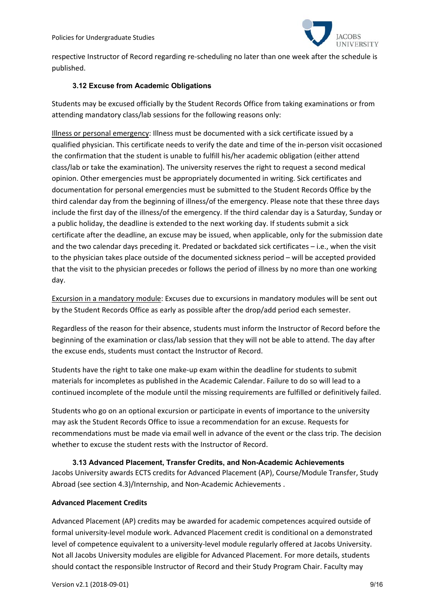

respective Instructor of Record regarding re‐scheduling no later than one week after the schedule is published.

#### **3.12 Excuse from Academic Obligations**

Students may be excused officially by the Student Records Office from taking examinations or from attending mandatory class/lab sessions for the following reasons only:

Illness or personal emergency: Illness must be documented with a sick certificate issued by a qualified physician. This certificate needs to verify the date and time of the in‐person visit occasioned the confirmation that the student is unable to fulfill his/her academic obligation (either attend class/lab or take the examination). The university reserves the right to request a second medical opinion. Other emergencies must be appropriately documented in writing. Sick certificates and documentation for personal emergencies must be submitted to the Student Records Office by the third calendar day from the beginning of illness/of the emergency. Please note that these three days include the first day of the illness/of the emergency. If the third calendar day is a Saturday, Sunday or a public holiday, the deadline is extended to the next working day. If students submit a sick certificate after the deadline, an excuse may be issued, when applicable, only for the submission date and the two calendar days preceding it. Predated or backdated sick certificates – i.e., when the visit to the physician takes place outside of the documented sickness period – will be accepted provided that the visit to the physician precedes or follows the period of illness by no more than one working day.

Excursion in a mandatory module: Excuses due to excursions in mandatory modules will be sent out by the Student Records Office as early as possible after the drop/add period each semester.

Regardless of the reason for their absence, students must inform the Instructor of Record before the beginning of the examination or class/lab session that they will not be able to attend. The day after the excuse ends, students must contact the Instructor of Record.

Students have the right to take one make‐up exam within the deadline for students to submit materials for incompletes as published in the Academic Calendar. Failure to do so will lead to a continued incomplete of the module until the missing requirements are fulfilled or definitively failed.

Students who go on an optional excursion or participate in events of importance to the university may ask the Student Records Office to issue a recommendation for an excuse. Requests for recommendations must be made via email well in advance of the event or the class trip. The decision whether to excuse the student rests with the Instructor of Record.

**3.13 Advanced Placement, Transfer Credits, and Non-Academic Achievements**  Jacobs University awards ECTS credits for Advanced Placement (AP), Course/Module Transfer, Study Abroad (see section 4.3)/Internship, and Non-Academic Achievements.

#### **Advanced Placement Credits**

Advanced Placement (AP) credits may be awarded for academic competences acquired outside of formal university‐level module work. Advanced Placement credit is conditional on a demonstrated level of competence equivalent to a university‐level module regularly offered at Jacobs University. Not all Jacobs University modules are eligible for Advanced Placement. For more details, students should contact the responsible Instructor of Record and their Study Program Chair. Faculty may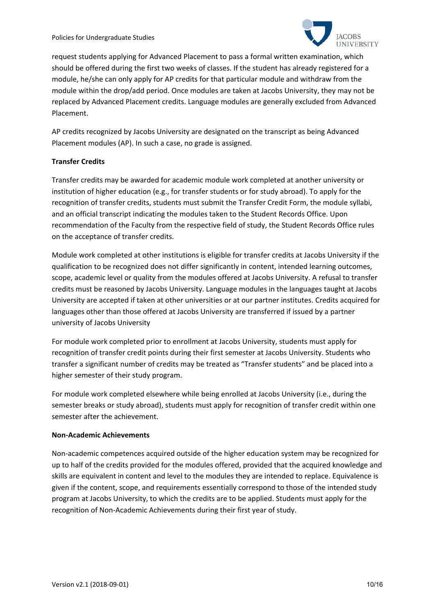

request students applying for Advanced Placement to pass a formal written examination, which should be offered during the first two weeks of classes. If the student has already registered for a module, he/she can only apply for AP credits for that particular module and withdraw from the module within the drop/add period. Once modules are taken at Jacobs University, they may not be replaced by Advanced Placement credits. Language modules are generally excluded from Advanced Placement.

AP credits recognized by Jacobs University are designated on the transcript as being Advanced Placement modules (AP). In such a case, no grade is assigned.

## **Transfer Credits**

Transfer credits may be awarded for academic module work completed at another university or institution of higher education (e.g., for transfer students or for study abroad). To apply for the recognition of transfer credits, students must submit the Transfer Credit Form, the module syllabi, and an official transcript indicating the modules taken to the Student Records Office. Upon recommendation of the Faculty from the respective field of study, the Student Records Office rules on the acceptance of transfer credits.

Module work completed at other institutions is eligible for transfer credits at Jacobs University if the qualification to be recognized does not differ significantly in content, intended learning outcomes, scope, academic level or quality from the modules offered at Jacobs University. A refusal to transfer credits must be reasoned by Jacobs University. Language modules in the languages taught at Jacobs University are accepted if taken at other universities or at our partner institutes. Credits acquired for languages other than those offered at Jacobs University are transferred if issued by a partner university of Jacobs University

For module work completed prior to enrollment at Jacobs University, students must apply for recognition of transfer credit points during their first semester at Jacobs University. Students who transfer a significant number of credits may be treated as "Transfer students" and be placed into a higher semester of their study program.

For module work completed elsewhere while being enrolled at Jacobs University (i.e., during the semester breaks or study abroad), students must apply for recognition of transfer credit within one semester after the achievement.

## **Non‐Academic Achievements**

Non-academic competences acquired outside of the higher education system may be recognized for up to half of the credits provided for the modules offered, provided that the acquired knowledge and skills are equivalent in content and level to the modules they are intended to replace. Equivalence is given if the content, scope, and requirements essentially correspond to those of the intended study program at Jacobs University, to which the credits are to be applied. Students must apply for the recognition of Non‐Academic Achievements during their first year of study.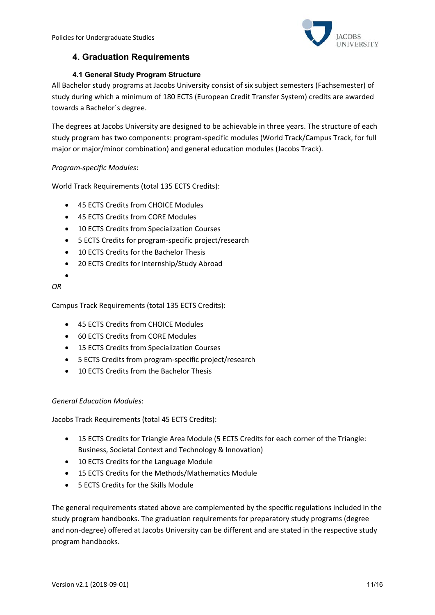

# **4. Graduation Requirements**

## **4.1 General Study Program Structure**

All Bachelor study programs at Jacobs University consist of six subject semesters (Fachsemester) of study during which a minimum of 180 ECTS (European Credit Transfer System) credits are awarded towards a Bachelor´s degree.

The degrees at Jacobs University are designed to be achievable in three years. The structure of each study program has two components: program‐specific modules (World Track/Campus Track, for full major or major/minor combination) and general education modules (Jacobs Track).

## *Program‐specific Modules*:

World Track Requirements (total 135 ECTS Credits):

- 45 ECTS Credits from CHOICE Modules
- 45 ECTS Credits from CORE Modules
- 10 ECTS Credits from Specialization Courses
- 5 ECTS Credits for program‐specific project/research
- 10 ECTS Credits for the Bachelor Thesis
- 20 ECTS Credits for Internship/Study Abroad

*OR* 

 $\bullet$ 

Campus Track Requirements (total 135 ECTS Credits):

- 45 ECTS Credits from CHOICE Modules
- 60 ECTS Credits from CORE Modules
- 15 ECTS Credits from Specialization Courses
- 5 ECTS Credits from program-specific project/research
- 10 ECTS Credits from the Bachelor Thesis

## *General Education Modules*:

Jacobs Track Requirements (total 45 ECTS Credits):

- 15 ECTS Credits for Triangle Area Module (5 ECTS Credits for each corner of the Triangle: Business, Societal Context and Technology & Innovation)
- 10 ECTS Credits for the Language Module
- 15 ECTS Credits for the Methods/Mathematics Module
- 5 ECTS Credits for the Skills Module

The general requirements stated above are complemented by the specific regulations included in the study program handbooks. The graduation requirements for preparatory study programs (degree and non‐degree) offered at Jacobs University can be different and are stated in the respective study program handbooks.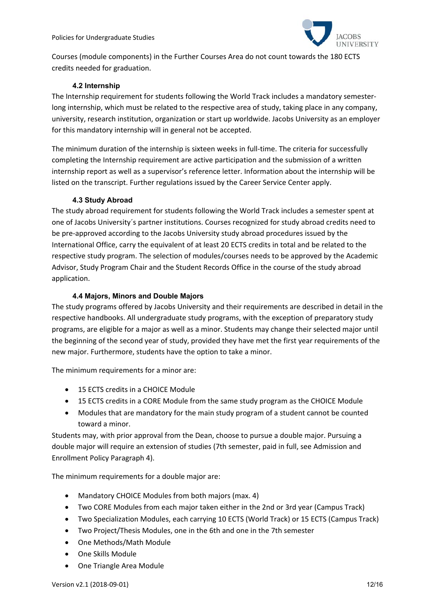

Courses (module components) in the Further Courses Area do not count towards the 180 ECTS credits needed for graduation.

#### **4.2 Internship**

The Internship requirement for students following the World Track includes a mandatory semester‐ long internship, which must be related to the respective area of study, taking place in any company, university, research institution, organization or start up worldwide. Jacobs University as an employer for this mandatory internship will in general not be accepted.

The minimum duration of the internship is sixteen weeks in full‐time. The criteria for successfully completing the Internship requirement are active participation and the submission of a written internship report as well as a supervisor's reference letter. Information about the internship will be listed on the transcript. Further regulations issued by the Career Service Center apply.

#### **4.3 Study Abroad**

The study abroad requirement for students following the World Track includes a semester spent at one of Jacobs University´s partner institutions. Courses recognized for study abroad credits need to be pre‐approved according to the Jacobs University study abroad procedures issued by the International Office, carry the equivalent of at least 20 ECTS credits in total and be related to the respective study program. The selection of modules/courses needs to be approved by the Academic Advisor, Study Program Chair and the Student Records Office in the course of the study abroad application.

#### **4.4 Majors, Minors and Double Majors**

The study programs offered by Jacobs University and their requirements are described in detail in the respective handbooks. All undergraduate study programs, with the exception of preparatory study programs, are eligible for a major as well as a minor. Students may change their selected major until the beginning of the second year of study, provided they have met the first year requirements of the new major. Furthermore, students have the option to take a minor.

The minimum requirements for a minor are:

- 15 ECTS credits in a CHOICE Module
- 15 ECTS credits in a CORE Module from the same study program as the CHOICE Module
- Modules that are mandatory for the main study program of a student cannot be counted toward a minor.

Students may, with prior approval from the Dean, choose to pursue a double major. Pursuing a double major will require an extension of studies (7th semester, paid in full, see Admission and Enrollment Policy Paragraph 4).

The minimum requirements for a double major are:

- Mandatory CHOICE Modules from both majors (max. 4)
- Two CORE Modules from each major taken either in the 2nd or 3rd year (Campus Track)
- Two Specialization Modules, each carrying 10 ECTS (World Track) or 15 ECTS (Campus Track)
- Two Project/Thesis Modules, one in the 6th and one in the 7th semester
- One Methods/Math Module
- One Skills Module
- One Triangle Area Module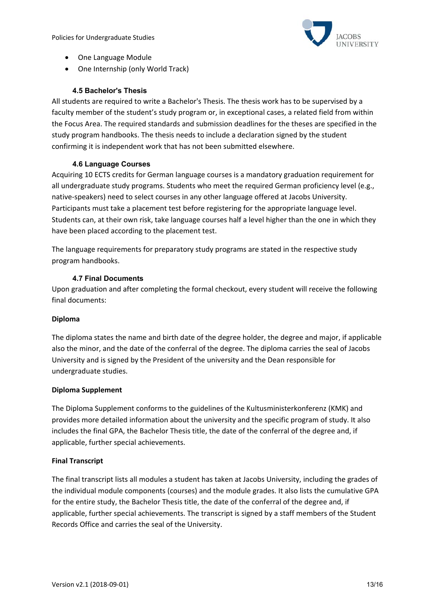Policies for Undergraduate Studies



- One Language Module
- One Internship (only World Track)

## **4.5 Bachelor's Thesis**

All students are required to write a Bachelor's Thesis. The thesis work has to be supervised by a faculty member of the student's study program or, in exceptional cases, a related field from within the Focus Area. The required standards and submission deadlines for the theses are specified in the study program handbooks. The thesis needs to include a declaration signed by the student confirming it is independent work that has not been submitted elsewhere.

## **4.6 Language Courses**

Acquiring 10 ECTS credits for German language courses is a mandatory graduation requirement for all undergraduate study programs. Students who meet the required German proficiency level (e.g., native‐speakers) need to select courses in any other language offered at Jacobs University. Participants must take a placement test before registering for the appropriate language level. Students can, at their own risk, take language courses half a level higher than the one in which they have been placed according to the placement test.

The language requirements for preparatory study programs are stated in the respective study program handbooks.

#### **4.7 Final Documents**

Upon graduation and after completing the formal checkout, every student will receive the following final documents:

#### **Diploma**

The diploma states the name and birth date of the degree holder, the degree and major, if applicable also the minor, and the date of the conferral of the degree. The diploma carries the seal of Jacobs University and is signed by the President of the university and the Dean responsible for undergraduate studies.

#### **Diploma Supplement**

The Diploma Supplement conforms to the guidelines of the Kultusministerkonferenz (KMK) and provides more detailed information about the university and the specific program of study. It also includes the final GPA, the Bachelor Thesis title, the date of the conferral of the degree and, if applicable, further special achievements.

#### **Final Transcript**

The final transcript lists all modules a student has taken at Jacobs University, including the grades of the individual module components (courses) and the module grades. It also lists the cumulative GPA for the entire study, the Bachelor Thesis title, the date of the conferral of the degree and, if applicable, further special achievements. The transcript is signed by a staff members of the Student Records Office and carries the seal of the University.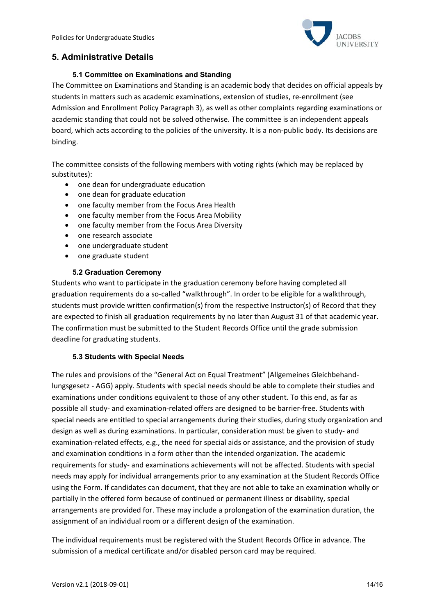

# **5. Administrative Details**

#### **5.1 Committee on Examinations and Standing**

The Committee on Examinations and Standing is an academic body that decides on official appeals by students in matters such as academic examinations, extension of studies, re-enrollment (see Admission and Enrollment Policy Paragraph 3), as well as other complaints regarding examinations or academic standing that could not be solved otherwise. The committee is an independent appeals board, which acts according to the policies of the university. It is a non-public body. Its decisions are binding.

The committee consists of the following members with voting rights (which may be replaced by substitutes):

- one dean for undergraduate education
- one dean for graduate education
- one faculty member from the Focus Area Health
- one faculty member from the Focus Area Mobility
- one faculty member from the Focus Area Diversity
- one research associate
- one undergraduate student
- one graduate student

#### **5.2 Graduation Ceremony**

Students who want to participate in the graduation ceremony before having completed all graduation requirements do a so-called "walkthrough". In order to be eligible for a walkthrough, students must provide written confirmation(s) from the respective Instructor(s) of Record that they are expected to finish all graduation requirements by no later than August 31 of that academic year. The confirmation must be submitted to the Student Records Office until the grade submission deadline for graduating students.

#### **5.3 Students with Special Needs**

The rules and provisions of the "General Act on Equal Treatment" (Allgemeines Gleichbehand‐ lungsgesetz ‐ AGG) apply. Students with special needs should be able to complete their studies and examinations under conditions equivalent to those of any other student. To this end, as far as possible all study‐ and examination‐related offers are designed to be barrier‐free. Students with special needs are entitled to special arrangements during their studies, during study organization and design as well as during examinations. In particular, consideration must be given to study‐ and examination‐related effects, e.g., the need for special aids or assistance, and the provision of study and examination conditions in a form other than the intended organization. The academic requirements for study‐ and examinations achievements will not be affected. Students with special needs may apply for individual arrangements prior to any examination at the Student Records Office using the Form. If candidates can document, that they are not able to take an examination wholly or partially in the offered form because of continued or permanent illness or disability, special arrangements are provided for. These may include a prolongation of the examination duration, the assignment of an individual room or a different design of the examination.

The individual requirements must be registered with the Student Records Office in advance. The submission of a medical certificate and/or disabled person card may be required.